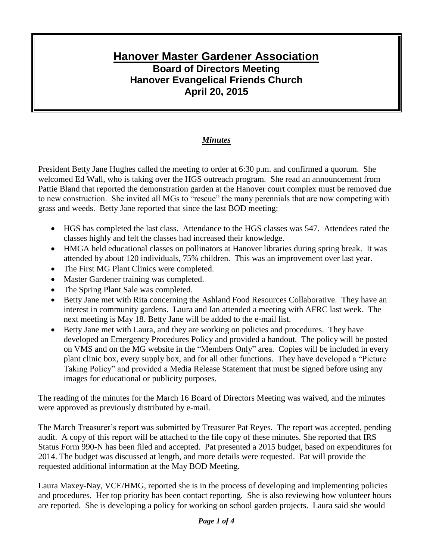## **Hanover Master Gardener Association Board of Directors Meeting Hanover Evangelical Friends Church April 20, 2015**

## *Minutes*

President Betty Jane Hughes called the meeting to order at 6:30 p.m. and confirmed a quorum. She welcomed Ed Wall, who is taking over the HGS outreach program. She read an announcement from Pattie Bland that reported the demonstration garden at the Hanover court complex must be removed due to new construction. She invited all MGs to "rescue" the many perennials that are now competing with grass and weeds. Betty Jane reported that since the last BOD meeting:

- HGS has completed the last class. Attendance to the HGS classes was 547. Attendees rated the classes highly and felt the classes had increased their knowledge.
- HMGA held educational classes on pollinators at Hanover libraries during spring break. It was attended by about 120 individuals, 75% children. This was an improvement over last year.
- The First MG Plant Clinics were completed.
- Master Gardener training was completed.
- The Spring Plant Sale was completed.
- Betty Jane met with Rita concerning the Ashland Food Resources Collaborative. They have an interest in community gardens. Laura and Ian attended a meeting with AFRC last week. The next meeting is May 18. Betty Jane will be added to the e-mail list.
- Betty Jane met with Laura, and they are working on policies and procedures. They have developed an Emergency Procedures Policy and provided a handout. The policy will be posted on VMS and on the MG website in the "Members Only" area. Copies will be included in every plant clinic box, every supply box, and for all other functions. They have developed a "Picture Taking Policy" and provided a Media Release Statement that must be signed before using any images for educational or publicity purposes.

The reading of the minutes for the March 16 Board of Directors Meeting was waived, and the minutes were approved as previously distributed by e-mail.

The March Treasurer's report was submitted by Treasurer Pat Reyes. The report was accepted, pending audit. A copy of this report will be attached to the file copy of these minutes. She reported that IRS Status Form 990-N has been filed and accepted. Pat presented a 2015 budget, based on expenditures for 2014. The budget was discussed at length, and more details were requested. Pat will provide the requested additional information at the May BOD Meeting.

Laura Maxey-Nay, VCE/HMG, reported she is in the process of developing and implementing policies and procedures. Her top priority has been contact reporting. She is also reviewing how volunteer hours are reported. She is developing a policy for working on school garden projects. Laura said she would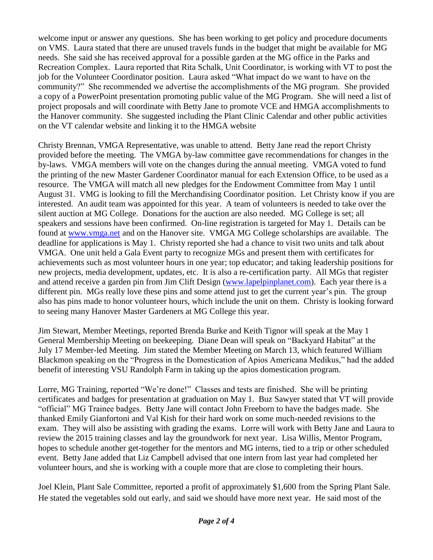welcome input or answer any questions. She has been working to get policy and procedure documents on VMS. Laura stated that there are unused travels funds in the budget that might be available for MG needs. She said she has received approval for a possible garden at the MG office in the Parks and Recreation Complex. Laura reported that Rita Schalk, Unit Coordinator, is working with VT to post the job for the Volunteer Coordinator position. Laura asked "What impact do we want to have on the community?" She recommended we advertise the accomplishments of the MG program. She provided a copy of a PowerPoint presentation promoting public value of the MG Program. She will need a list of project proposals and will coordinate with Betty Jane to promote VCE and HMGA accomplishments to the Hanover community. She suggested including the Plant Clinic Calendar and other public activities on the VT calendar website and linking it to the HMGA website

Christy Brennan, VMGA Representative, was unable to attend. Betty Jane read the report Christy provided before the meeting. The VMGA by-law committee gave recommendations for changes in the by-laws. VMGA members will vote on the changes during the annual meeting. VMGA voted to fund the printing of the new Master Gardener Coordinator manual for each Extension Office, to be used as a resource. The VMGA will match all new pledges for the Endowment Committee from May 1 until August 31. VMG is looking to fill the Merchandising Coordinator position. Let Christy know if you are interested. An audit team was appointed for this year. A team of volunteers is needed to take over the silent auction at MG College. Donations for the auction are also needed. MG College is set; all speakers and sessions have been confirmed. On-line registration is targeted for May 1. Details can be found at [www.vmga.net](http://www.vmga.net/) and on the Hanover site. VMGA MG College scholarships are available. The deadline for applications is May 1. Christy reported she had a chance to visit two units and talk about VMGA. One unit held a Gala Event party to recognize MGs and present them with certificates for achievements such as most volunteer hours in one year; top educator; and taking leadership positions for new projects, media development, updates, etc. It is also a re-certification party. All MGs that register and attend receive a garden pin from Jim Clift Design [\(www.lapelpinplanet.com\)](http://www.lapelpinplanet.com/). Each year there is a different pin. MGs really love these pins and some attend just to get the current year's pin. The group also has pins made to honor volunteer hours, which include the unit on them. Christy is looking forward to seeing many Hanover Master Gardeners at MG College this year.

Jim Stewart, Member Meetings, reported Brenda Burke and Keith Tignor will speak at the May 1 General Membership Meeting on beekeeping. Diane Dean will speak on "Backyard Habitat" at the July 17 Member-led Meeting. Jim stated the Member Meeting on March 13, which featured William Blackmon speaking on the "Progress in the Domestication of Apios Americana Medikus," had the added benefit of interesting VSU Randolph Farm in taking up the apios domestication program.

Lorre, MG Training, reported "We're done!" Classes and tests are finished. She will be printing certificates and badges for presentation at graduation on May 1. Buz Sawyer stated that VT will provide "official" MG Trainee badges. Betty Jane will contact John Freeborn to have the badges made. She thanked Emily Gianfortoni and Val Kish for their hard work on some much-needed revisions to the exam. They will also be assisting with grading the exams. Lorre will work with Betty Jane and Laura to review the 2015 training classes and lay the groundwork for next year. Lisa Willis, Mentor Program, hopes to schedule another get-together for the mentors and MG interns, tied to a trip or other scheduled event. Betty Jane added that Liz Campbell advised that one intern from last year had completed her volunteer hours, and she is working with a couple more that are close to completing their hours.

Joel Klein, Plant Sale Committee, reported a profit of approximately \$1,600 from the Spring Plant Sale. He stated the vegetables sold out early, and said we should have more next year. He said most of the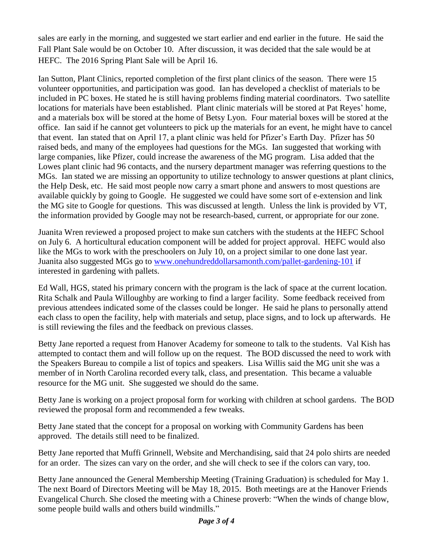sales are early in the morning, and suggested we start earlier and end earlier in the future. He said the Fall Plant Sale would be on October 10. After discussion, it was decided that the sale would be at HEFC. The 2016 Spring Plant Sale will be April 16.

Ian Sutton, Plant Clinics, reported completion of the first plant clinics of the season. There were 15 volunteer opportunities, and participation was good. Ian has developed a checklist of materials to be included in PC boxes. He stated he is still having problems finding material coordinators. Two satellite locations for materials have been established. Plant clinic materials will be stored at Pat Reyes' home, and a materials box will be stored at the home of Betsy Lyon. Four material boxes will be stored at the office. Ian said if he cannot get volunteers to pick up the materials for an event, he might have to cancel that event. Ian stated that on April 17, a plant clinic was held for Pfizer's Earth Day. Pfizer has 50 raised beds, and many of the employees had questions for the MGs. Ian suggested that working with large companies, like Pfizer, could increase the awareness of the MG program. Lisa added that the Lowes plant clinic had 96 contacts, and the nursery department manager was referring questions to the MGs. Ian stated we are missing an opportunity to utilize technology to answer questions at plant clinics, the Help Desk, etc. He said most people now carry a smart phone and answers to most questions are available quickly by going to Google. He suggested we could have some sort of e-extension and link the MG site to Google for questions. This was discussed at length. Unless the link is provided by VT, the information provided by Google may not be research-based, current, or appropriate for our zone.

Juanita Wren reviewed a proposed project to make sun catchers with the students at the HEFC School on July 6. A horticultural education component will be added for project approval. HEFC would also like the MGs to work with the preschoolers on July 10, on a project similar to one done last year. Juanita also suggested MGs go to [www.onehundreddollarsamonth.com/pallet-gardening-101](http://www.onehundreddollarsamonth.com/pallet-gardening-101) if interested in gardening with pallets.

Ed Wall, HGS, stated his primary concern with the program is the lack of space at the current location. Rita Schalk and Paula Willoughby are working to find a larger facility. Some feedback received from previous attendees indicated some of the classes could be longer. He said he plans to personally attend each class to open the facility, help with materials and setup, place signs, and to lock up afterwards. He is still reviewing the files and the feedback on previous classes.

Betty Jane reported a request from Hanover Academy for someone to talk to the students. Val Kish has attempted to contact them and will follow up on the request. The BOD discussed the need to work with the Speakers Bureau to compile a list of topics and speakers. Lisa Willis said the MG unit she was a member of in North Carolina recorded every talk, class, and presentation. This became a valuable resource for the MG unit. She suggested we should do the same.

Betty Jane is working on a project proposal form for working with children at school gardens. The BOD reviewed the proposal form and recommended a few tweaks.

Betty Jane stated that the concept for a proposal on working with Community Gardens has been approved. The details still need to be finalized.

Betty Jane reported that Muffi Grinnell, Website and Merchandising, said that 24 polo shirts are needed for an order. The sizes can vary on the order, and she will check to see if the colors can vary, too.

Betty Jane announced the General Membership Meeting (Training Graduation) is scheduled for May 1. The next Board of Directors Meeting will be May 18, 2015. Both meetings are at the Hanover Friends Evangelical Church. She closed the meeting with a Chinese proverb: "When the winds of change blow, some people build walls and others build windmills."